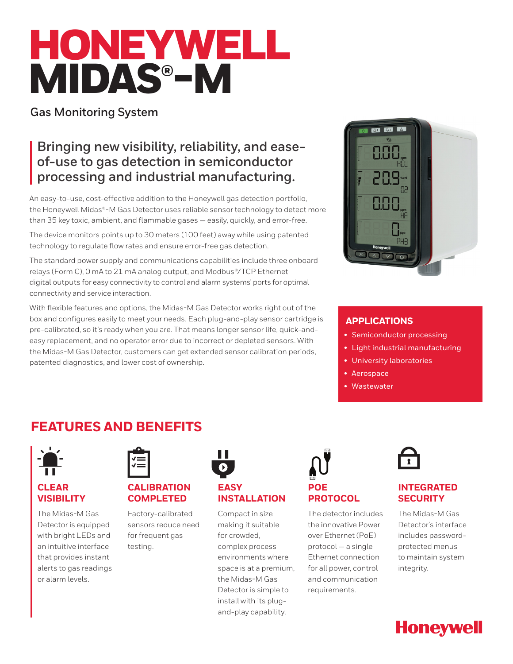# HONEYWELL MIDAS®-M

## **Gas Monitoring System**

# **Bringing new visibility, reliability, and easeof-use to gas detection in semiconductor processing and industrial manufacturing.**

An easy-to-use, cost-effective addition to the Honeywell gas detection portfolio, the Honeywell Midas®-M Gas Detector uses reliable sensor technology to detect more than 35 key toxic, ambient, and flammable gases — easily, quickly, and error-free.

The device monitors points up to 30 meters (100 feet) away while using patented technology to regulate flow rates and ensure error-free gas detection.

The standard power supply and communications capabilities include three onboard relays (Form C), 0 mA to 21 mA analog output, and Modbus®/TCP Ethernet digital outputs for easy connectivity to control and alarm systems' ports for optimal connectivity and service interaction.

With flexible features and options, the Midas-M Gas Detector works right out of the box and configures easily to meet your needs. Each plug-and-play sensor cartridge is pre-calibrated, so it's ready when you are. That means longer sensor life, quick-andeasy replacement, and no operator error due to incorrect or depleted sensors. With the Midas-M Gas Detector, customers can get extended sensor calibration periods, patented diagnostics, and lower cost of ownership.



## **APPLICATIONS**

- Semiconductor processing
- Light industrial manufacturing
- University laboratories
- Aerospace
- Wastewater

# **FEATURES AND BENEFITS**



## **CLEAR VISIBILITY**

The Midas-M Gas Detector is equipped with bright LEDs and an intuitive interface that provides instant alerts to gas readings or alarm levels.



## **CALIBRATION COMPLETED**

Factory-calibrated sensors reduce need for frequent gas testing.

# **EASY INSTALLATION**

. .

Compact in size making it suitable for crowded, complex process environments where space is at a premium, the Midas-M Gas Detector is simple to install with its plugand-play capability.



# **PROTOCOL**

The detector includes the innovative Power over Ethernet (PoE) protocol — a single Ethernet connection for all power, control and communication requirements.



## **INTEGRATED SECURITY**

The Midas-M Gas Detector's interface includes passwordprotected menus to maintain system integrity.

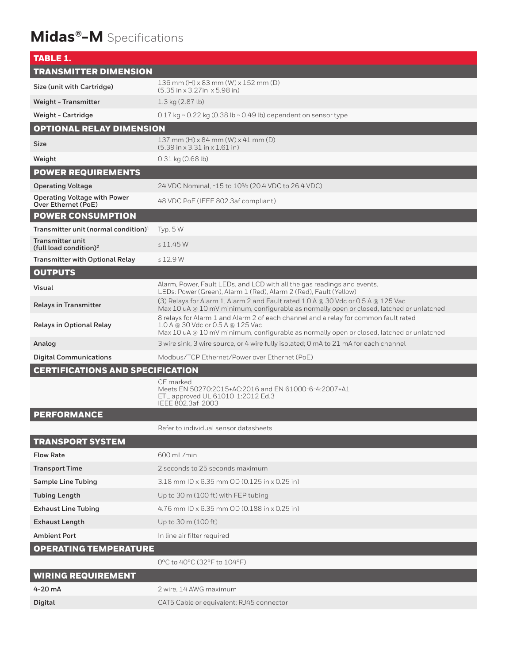# **Midas®-M** Specifications

| <b>TABLE 1.</b>                                               |                                                                                                                                                                                                                      |  |  |  |  |
|---------------------------------------------------------------|----------------------------------------------------------------------------------------------------------------------------------------------------------------------------------------------------------------------|--|--|--|--|
| <b>TRANSMITTER DIMENSION</b>                                  |                                                                                                                                                                                                                      |  |  |  |  |
| Size (unit with Cartridge)                                    | $136$ mm (H) x 83 mm (W) x 152 mm (D)<br>$(5.35 \text{ in} \times 3.27 \text{ in} \times 5.98 \text{ in})$                                                                                                           |  |  |  |  |
| <b>Weight - Transmitter</b>                                   | 1.3 kg (2.87 lb)                                                                                                                                                                                                     |  |  |  |  |
| <b>Weight - Cartridge</b>                                     | 0.17 kg ~ 0.22 kg (0.38 lb ~ 0.49 lb) dependent on sensor type                                                                                                                                                       |  |  |  |  |
| <b>OPTIONAL RELAY DIMENSION</b>                               |                                                                                                                                                                                                                      |  |  |  |  |
| Size                                                          | 137 mm $(H) \times 84$ mm $(W) \times 41$ mm $(D)$<br>$(5.39 \text{ in} \times 3.31 \text{ in} \times 1.61 \text{ in})$                                                                                              |  |  |  |  |
| Weight                                                        | $0.31$ kg $(0.68$ lb)                                                                                                                                                                                                |  |  |  |  |
| <b>POWER REQUIREMENTS</b>                                     |                                                                                                                                                                                                                      |  |  |  |  |
| <b>Operating Voltage</b>                                      | 24 VDC Nominal, -15 to 10% (20.4 VDC to 26.4 VDC)                                                                                                                                                                    |  |  |  |  |
| <b>Operating Voltage with Power</b><br>Over Ethernet (PoE)    | 48 VDC PoE (IEEE 802.3af compliant)                                                                                                                                                                                  |  |  |  |  |
| <b>POWER CONSUMPTION</b>                                      |                                                                                                                                                                                                                      |  |  |  |  |
| Transmitter unit (normal condition) <sup>1</sup>              | Typ. $5W$                                                                                                                                                                                                            |  |  |  |  |
| <b>Transmitter unit</b><br>(full load condition) <sup>2</sup> | $\leq 11.45$ W                                                                                                                                                                                                       |  |  |  |  |
| <b>Transmitter with Optional Relay</b>                        | $\leq$ 12.9 W                                                                                                                                                                                                        |  |  |  |  |
| <b>OUTPUTS</b>                                                |                                                                                                                                                                                                                      |  |  |  |  |
| Visual                                                        | Alarm, Power, Fault LEDs, and LCD with all the gas readings and events.<br>LEDs: Power (Green), Alarm 1 (Red), Alarm 2 (Red), Fault (Yellow)                                                                         |  |  |  |  |
| <b>Relays in Transmitter</b>                                  | (3) Relays for Alarm 1, Alarm 2 and Fault rated 1.0 A @ 30 Vdc or 0.5 A @ 125 Vac<br>Max 10 uA @ 10 mV minimum, configurable as normally open or closed, latched or unlatched                                        |  |  |  |  |
| <b>Relays in Optional Relay</b>                               | 8 relays for Alarm 1 and Alarm 2 of each channel and a relay for common fault rated<br>1.0 A @ 30 Vdc or 0.5 A @ 125 Vac<br>Max 10 uA @ 10 mV minimum, configurable as normally open or closed, latched or unlatched |  |  |  |  |
| Analog                                                        | 3 wire sink, 3 wire source, or 4 wire fully isolated; 0 mA to 21 mA for each channel                                                                                                                                 |  |  |  |  |
| <b>Digital Communications</b>                                 | Modbus/TCP Ethernet/Power over Ethernet (PoE)                                                                                                                                                                        |  |  |  |  |
| <b>CERTIFICATIONS AND SPECIFICATION</b>                       |                                                                                                                                                                                                                      |  |  |  |  |
|                                                               | CE marked<br>Meets EN 50270:2015+AC:2016 and EN 61000-6-4:2007+A1<br>ETL approved UL 61010-1:2012 Ed.3<br>IFFE 802.3af-2003                                                                                          |  |  |  |  |
| <b>PERFORMANCE</b>                                            |                                                                                                                                                                                                                      |  |  |  |  |
|                                                               | Refer to individual sensor datasheets                                                                                                                                                                                |  |  |  |  |
| <b>TRANSPORT SYSTEM</b>                                       |                                                                                                                                                                                                                      |  |  |  |  |
| <b>Flow Rate</b>                                              | 600 mL/min                                                                                                                                                                                                           |  |  |  |  |
| <b>Transport Time</b>                                         | 2 seconds to 25 seconds maximum                                                                                                                                                                                      |  |  |  |  |
| <b>Sample Line Tubing</b>                                     | 3.18 mm ID x 6.35 mm OD (0.125 in x 0.25 in)                                                                                                                                                                         |  |  |  |  |
| <b>Tubing Length</b>                                          | Up to 30 m (100 ft) with FEP tubing                                                                                                                                                                                  |  |  |  |  |
| <b>Exhaust Line Tubing</b>                                    | 4.76 mm ID x 6.35 mm OD (0.188 in x 0.25 in)                                                                                                                                                                         |  |  |  |  |
| <b>Exhaust Length</b>                                         | Up to 30 m (100 ft)                                                                                                                                                                                                  |  |  |  |  |
| <b>Ambient Port</b>                                           | In line air filter required                                                                                                                                                                                          |  |  |  |  |
| <b>OPERATING TEMPERATURE</b>                                  |                                                                                                                                                                                                                      |  |  |  |  |
|                                                               | 0°C to 40°C (32°F to 104°F)                                                                                                                                                                                          |  |  |  |  |
| <b>WIRING REQUIREMENT</b>                                     |                                                                                                                                                                                                                      |  |  |  |  |
| 4-20 mA                                                       | 2 wire, 14 AWG maximum                                                                                                                                                                                               |  |  |  |  |
| Digital                                                       | CAT5 Cable or equivalent: RJ45 connector                                                                                                                                                                             |  |  |  |  |
|                                                               |                                                                                                                                                                                                                      |  |  |  |  |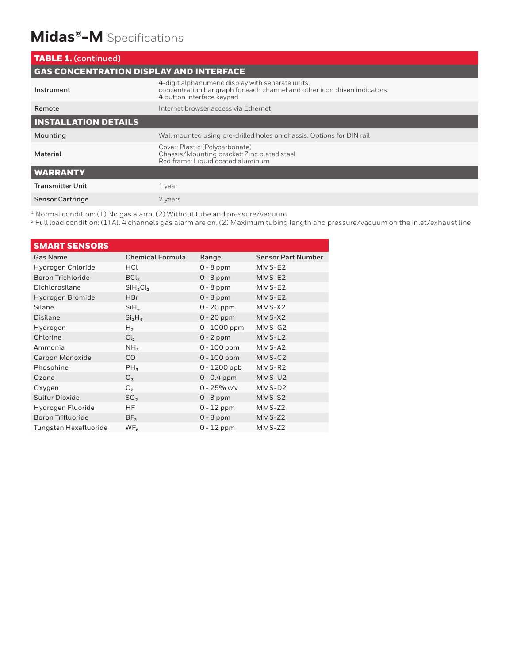# **Midas®-M** Specifications

| <b>TABLE 1. (continued)</b>                    |                                                                                                                                                             |  |  |  |
|------------------------------------------------|-------------------------------------------------------------------------------------------------------------------------------------------------------------|--|--|--|
| <b>GAS CONCENTRATION DISPLAY AND INTERFACE</b> |                                                                                                                                                             |  |  |  |
| Instrument                                     | 4-digit alphanumeric display with separate units,<br>concentration bar graph for each channel and other icon driven indicators<br>4 button interface keypad |  |  |  |
| Remote                                         | Internet browser access via Ethernet                                                                                                                        |  |  |  |
| <b>INSTALLATION DETAILS</b>                    |                                                                                                                                                             |  |  |  |
| Mounting                                       | Wall mounted using pre-drilled holes on chassis. Options for DIN rail                                                                                       |  |  |  |
| Material                                       | Cover: Plastic (Polycarbonate)<br>Chassis/Mounting bracket: Zinc plated steel<br>Red frame: Liquid coated aluminum                                          |  |  |  |
| <b>WARRANTY</b>                                |                                                                                                                                                             |  |  |  |
| <b>Transmitter Unit</b>                        | 1 year                                                                                                                                                      |  |  |  |
| <b>Sensor Cartridge</b>                        | 2 years                                                                                                                                                     |  |  |  |

<sup>1</sup> Normal condition: (1) No gas alarm, (2) Without tube and pressure/vacuum

² Full load condition: (1) All 4 channels gas alarm are on, (2) Maximum tubing length and pressure/vacuum on the inlet/exhaust line

| <b>SMART SENSORS</b>     |                                  |                |                           |
|--------------------------|----------------------------------|----------------|---------------------------|
| <b>Gas Name</b>          | <b>Chemical Formula</b>          | Range          | <b>Sensor Part Number</b> |
| Hydrogen Chloride        | HCL                              | $0 - 8$ ppm    | MMS-E2                    |
| <b>Boron Trichloride</b> | BCl <sub>3</sub>                 | $0 - 8$ ppm    | MMS-E2                    |
| Dichlorosilane           | SiH <sub>2</sub> Cl <sub>2</sub> | $0 - 8$ ppm    | MMS-E2                    |
| Hydrogen Bromide         | <b>HBr</b>                       | $0 - 8$ ppm    | MMS-E2                    |
| Silane                   | $SiH_{4}$                        | $0 - 20$ ppm   | MMS-X2                    |
| Disilane                 | Si <sub>2</sub> H <sub>6</sub>   | $0 - 20$ ppm   | MMS-X2                    |
| Hydrogen                 | H <sub>2</sub>                   | $0 - 1000$ ppm | MMS-G2                    |
| Chlorine                 | Cl <sub>2</sub>                  | $0 - 2$ ppm    | MMS-L <sub>2</sub>        |
| Ammonia                  | NH <sub>3</sub>                  | $0 - 100$ ppm  | MMS-A2                    |
| <b>Carbon Monoxide</b>   | CO                               | $0 - 100$ ppm  | MMS-C2                    |
| Phosphine                | PH <sub>3</sub>                  | $0 - 1200$ ppb | MMS-R2                    |
| Ozone                    | O <sub>3</sub>                   | $0 - 0.4$ ppm  | MMS-U2                    |
| Oxygen                   | O <sub>2</sub>                   | $0 - 25%$ v/v  | MMS-D2                    |
| Sulfur Dioxide           | SO <sub>2</sub>                  | $0 - 8$ ppm    | MMS-S2                    |
| Hydrogen Fluoride        | HF                               | $0 - 12$ ppm   | $MMS-Z2$                  |
| Boron Trifluoride        | BF <sub>3</sub>                  | $0 - 8$ ppm    | MMS-Z2                    |
| Tungsten Hexafluoride    | WF <sub>6</sub>                  | $0 - 12$ ppm   | MMS-Z2                    |